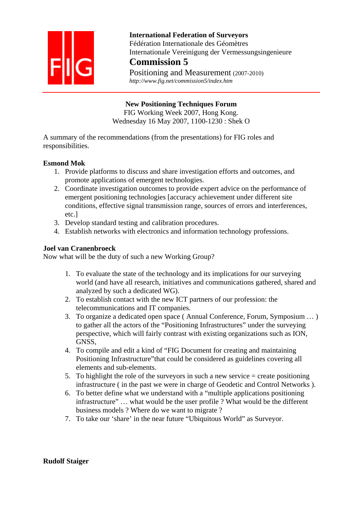

 **International Federation of Surveyors**  Fédération Internationale des Géomètres Internationale Vereinigung der Vermessungsingenieure

# **Commission 5**

Positioning and Measurement (2007-2010)  *http://www.fig.net/commission5/index.htm* 

**New Positioning Techniques Forum** 

FIG Working Week 2007, Hong Kong. Wednesday 16 May 2007, 1100-1230 : Shek O

A summary of the recommendations (from the presentations) for FIG roles and responsibilities.

## **Esmond Mok**

- 1. Provide platforms to discuss and share investigation efforts and outcomes, and promote applications of emergent technologies.
- 2. Coordinate investigation outcomes to provide expert advice on the performance of emergent positioning technologies [accuracy achievement under different site conditions, effective signal transmission range, sources of errors and interferences, etc.]
- 3. Develop standard testing and calibration procedures.
- 4. Establish networks with electronics and information technology professions.

### **Joel van Cranenbroeck**

Now what will be the duty of such a new Working Group?

- 1. To evaluate the state of the technology and its implications for our surveying world (and have all research, initiatives and communications gathered, shared and analyzed by such a dedicated WG).
- 2. To establish contact with the new ICT partners of our profession: the telecommunications and IT companies.
- 3. To organize a dedicated open space ( Annual Conference, Forum, Symposium … ) to gather all the actors of the "Positioning Infrastructures" under the surveying perspective, which will fairly contrast with existing organizations such as ION, GNSS,
- 4. To compile and edit a kind of "FIG Document for creating and maintaining Positioning Infrastructure"that could be considered as guidelines covering all elements and sub-elements.
- 5. To highlight the role of the surveyors in such a new service  $=$  create positioning infrastructure ( in the past we were in charge of Geodetic and Control Networks ).
- 6. To better define what we understand with a "multiple applications positioning infrastructure" … what would be the user profile ? What would be the different business models ? Where do we want to migrate ?
- 7. To take our 'share' in the near future "Ubiquitous World" as Surveyor.

### **Rudolf Staiger**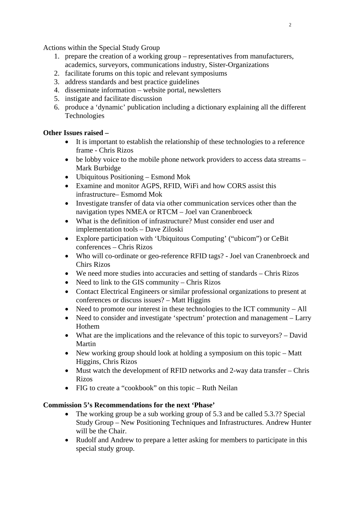Actions within the Special Study Group

- 1. prepare the creation of a working group representatives from manufacturers, academics, surveyors, communications industry, Sister-Organizations
- 2. facilitate forums on this topic and relevant symposiums
- 3. address standards and best practice guidelines
- 4. disseminate information website portal, newsletters
- 5. instigate and facilitate discussion
- 6. produce a 'dynamic' publication including a dictionary explaining all the different Technologies

### **Other Issues raised –**

- It is important to establish the relationship of these technologies to a reference frame - Chris Rizos
- be lobby voice to the mobile phone network providers to access data streams Mark Burbidge
- Ubiquitous Positioning Esmond Mok
- Examine and monitor AGPS, RFID, WiFi and how CORS assist this infrastructure– Esmomd Mok
- Investigate transfer of data via other communication services other than the navigation types NMEA or RTCM – Joel van Cranenbroeck
- What is the definition of infrastructure? Must consider end user and implementation tools – Dave Ziloski
- Explore participation with 'Ubiquitous Computing' ("ubicom") or CeBit conferences – Chris Rizos
- Who will co-ordinate or geo-reference RFID tags? Joel van Cranenbroeck and Chirs Rizos
- We need more studies into accuracies and setting of standards Chris Rizos
- Need to link to the GIS community Chris Rizos
- Contact Electrical Engineers or similar professional organizations to present at conferences or discuss issues? – Matt Higgins
- Need to promote our interest in these technologies to the ICT community All
- Need to consider and investigate 'spectrum' protection and management Larry Hothem
- What are the implications and the relevance of this topic to surveyors? David Martin
- New working group should look at holding a symposium on this topic Matt Higgins, Chris Rizos
- Must watch the development of RFID networks and 2-way data transfer Chris Rizos
- FIG to create a "cookbook" on this topic Ruth Neilan

### **Commission 5's Recommendations for the next 'Phase'**

- The working group be a sub working group of 5.3 and be called 5.3.?? Special Study Group – New Positioning Techniques and Infrastructures. Andrew Hunter will be the Chair.
- Rudolf and Andrew to prepare a letter asking for members to participate in this special study group.